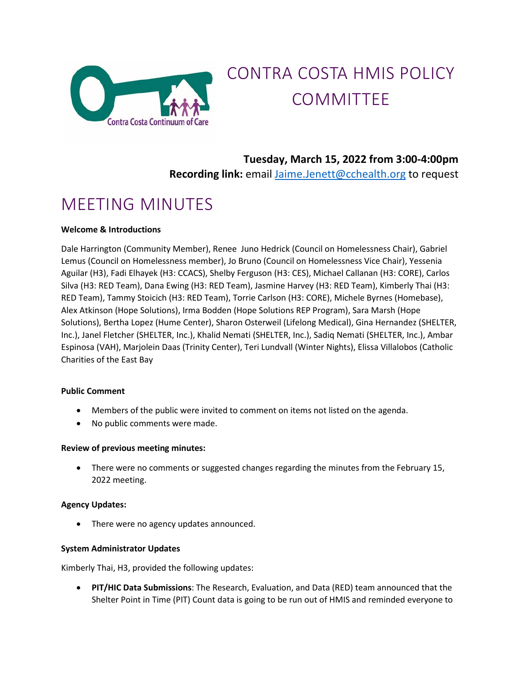

# CONTRA COSTA HMIS POLICY COMMITTEE

### **Tuesday, March 15, 2022 from 3:00-4:00pm Recording link:** email [Jaime.Jenett@cchealth.org](mailto:Jaime.Jenett@cchealth.org) to request

## MEETING MINUTES

#### **Welcome & Introductions**

Dale Harrington (Community Member), Renee Juno Hedrick (Council on Homelessness Chair), Gabriel Lemus (Council on Homelessness member), Jo Bruno (Council on Homelessness Vice Chair), Yessenia Aguilar (H3), Fadi Elhayek (H3: CCACS), Shelby Ferguson (H3: CES), Michael Callanan (H3: CORE), Carlos Silva (H3: RED Team), Dana Ewing (H3: RED Team), Jasmine Harvey (H3: RED Team), Kimberly Thai (H3: RED Team), Tammy Stoicich (H3: RED Team), Torrie Carlson (H3: CORE), Michele Byrnes (Homebase), Alex Atkinson (Hope Solutions), Irma Bodden (Hope Solutions REP Program), Sara Marsh (Hope Solutions), Bertha Lopez (Hume Center), Sharon Osterweil (Lifelong Medical), Gina Hernandez (SHELTER, Inc.), Janel Fletcher (SHELTER, Inc.), Khalid Nemati (SHELTER, Inc.), Sadiq Nemati (SHELTER, Inc.), Ambar Espinosa (VAH), Marjolein Daas (Trinity Center), Teri Lundvall (Winter Nights), Elissa Villalobos (Catholic Charities of the East Bay

#### **Public Comment**

- Members of the public were invited to comment on items not listed on the agenda.
- No public comments were made.

#### **Review of previous meeting minutes:**

• There were no comments or suggested changes regarding the minutes from the February 15, 2022 meeting.

#### **Agency Updates:**

There were no agency updates announced.

#### **System Administrator Updates**

Kimberly Thai, H3, provided the following updates:

• **PIT/HIC Data Submissions**: The Research, Evaluation, and Data (RED) team announced that the Shelter Point in Time (PIT) Count data is going to be run out of HMIS and reminded everyone to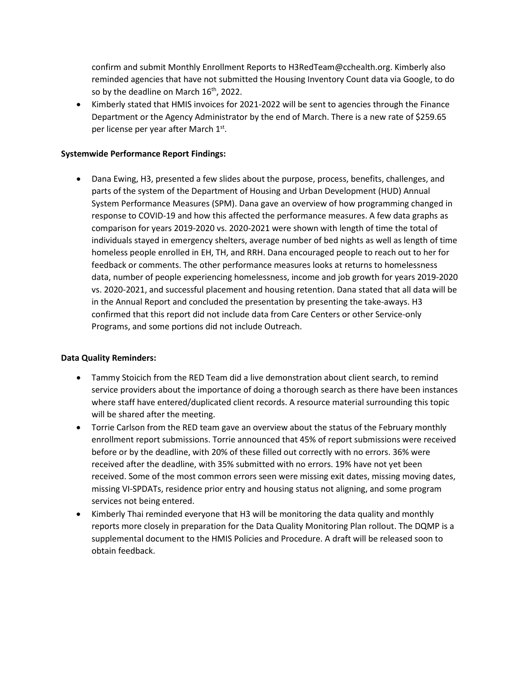confirm and submit Monthly Enrollment Reports to H3RedTeam@cchealth.org. Kimberly also reminded agencies that have not submitted the Housing Inventory Count data via Google, to do so by the deadline on March 16<sup>th</sup>, 2022.

• Kimberly stated that HMIS invoices for 2021-2022 will be sent to agencies through the Finance Department or the Agency Administrator by the end of March. There is a new rate of \$259.65 per license per year after March 1st.

#### **Systemwide Performance Report Findings:**

• Dana Ewing, H3, presented a few slides about the purpose, process, benefits, challenges, and parts of the system of the Department of Housing and Urban Development (HUD) Annual System Performance Measures (SPM). Dana gave an overview of how programming changed in response to COVID-19 and how this affected the performance measures. A few data graphs as comparison for years 2019-2020 vs. 2020-2021 were shown with length of time the total of individuals stayed in emergency shelters, average number of bed nights as well as length of time homeless people enrolled in EH, TH, and RRH. Dana encouraged people to reach out to her for feedback or comments. The other performance measures looks at returns to homelessness data, number of people experiencing homelessness, income and job growth for years 2019-2020 vs. 2020-2021, and successful placement and housing retention. Dana stated that all data will be in the Annual Report and concluded the presentation by presenting the take-aways. H3 confirmed that this report did not include data from Care Centers or other Service-only Programs, and some portions did not include Outreach.

#### **Data Quality Reminders:**

- Tammy Stoicich from the RED Team did a live demonstration about client search, to remind service providers about the importance of doing a thorough search as there have been instances where staff have entered/duplicated client records. A resource material surrounding this topic will be shared after the meeting.
- Torrie Carlson from the RED team gave an overview about the status of the February monthly enrollment report submissions. Torrie announced that 45% of report submissions were received before or by the deadline, with 20% of these filled out correctly with no errors. 36% were received after the deadline, with 35% submitted with no errors. 19% have not yet been received. Some of the most common errors seen were missing exit dates, missing moving dates, missing VI-SPDATs, residence prior entry and housing status not aligning, and some program services not being entered.
- Kimberly Thai reminded everyone that H3 will be monitoring the data quality and monthly reports more closely in preparation for the Data Quality Monitoring Plan rollout. The DQMP is a supplemental document to the HMIS Policies and Procedure. A draft will be released soon to obtain feedback.